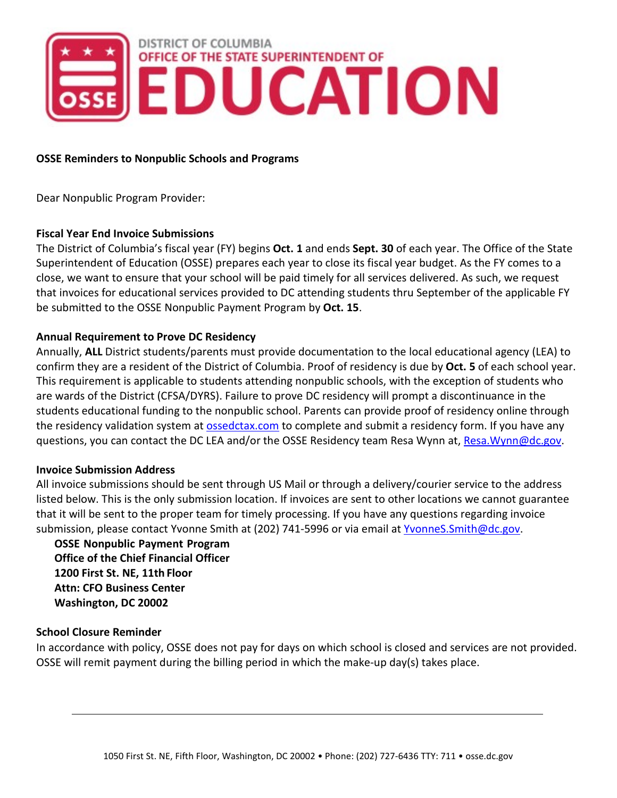

### **OSSE Reminders to Nonpublic Schools and Programs**

Dear Nonpublic Program Provider:

### **Fiscal Year End Invoice Submissions**

The District of Columbia's fiscal year (FY) begins **Oct. 1** and ends **Sept. 30** of each year. The Office of the State Superintendent of Education (OSSE) prepares each year to close its fiscal year budget. As the FY comes to a close, we want to ensure that your school will be paid timely for all services delivered. As such, we request that invoices for educational services provided to DC attending students thru September of the applicable FY be submitted to the OSSE Nonpublic Payment Program by **Oct. 15**.

## **Annual Requirement to Prove DC Residency**

Annually, **ALL** District students/parents must provide documentation to the local educational agency (LEA) to confirm they are a resident of the District of Columbia. Proof of residency is due by **Oct. 5** of each school year. This requirement is applicable to students attending nonpublic schools, with the exception of students who are wards of the District (CFSA/DYRS). Failure to prove DC residency will prompt a discontinuance in the students educational funding to the nonpublic school. Parents can provide proof of residency online through the residency validation system at ossedctax.com to complete and submit a residency form. If you have any questions, you can contact the DC LEA and/or the OSSE Residency team Resa Wynn at, Resa. Wynn@dc.gov.

#### **Invoice Submission Address**

All invoice submissions should be sent through US Mail or through a delivery/courier service to the address listed below. This is the only submission location. If invoices are sent to other locations we cannot guarantee that it will be sent to the proper team for timely processing. If you have any questions regarding invoice submission, please contact Yvonne Smith at (202) 741-5996 or via email at YvonneS. Smith@dc.gov.

**OSSE Nonpublic Payment Program Office of the Chief Financial Officer 1200 First St. NE, 11th Floor Attn: CFO Business Center Washington, DC 20002**

#### **School Closure Reminder**

In accordance with policy, OSSE does not pay for days on which school is closed and services are not provided. OSSE will remit payment during the billing period in which the make-up day(s) takes place.